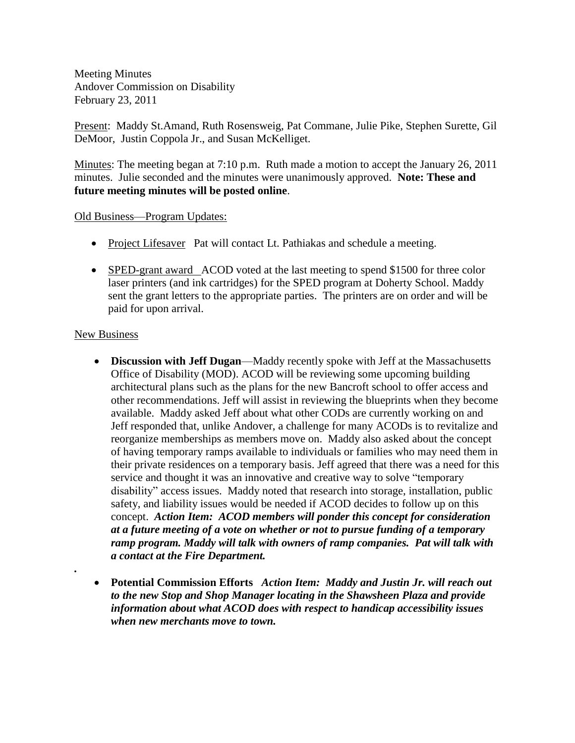Meeting Minutes Andover Commission on Disability February 23, 2011

Present: Maddy St.Amand, Ruth Rosensweig, Pat Commane, Julie Pike, Stephen Surette, Gil DeMoor, Justin Coppola Jr., and Susan McKelliget.

Minutes: The meeting began at 7:10 p.m. Ruth made a motion to accept the January 26, 2011 minutes. Julie seconded and the minutes were unanimously approved. **Note: These and future meeting minutes will be posted online**.

## Old Business—Program Updates:

- Project Lifesaver Pat will contact Lt. Pathiakas and schedule a meeting.
- SPED-grant award ACOD voted at the last meeting to spend \$1500 for three color laser printers (and ink cartridges) for the SPED program at Doherty School. Maddy sent the grant letters to the appropriate parties. The printers are on order and will be paid for upon arrival.

## New Business

*.*

- **Discussion with Jeff Dugan**—Maddy recently spoke with Jeff at the Massachusetts Office of Disability (MOD). ACOD will be reviewing some upcoming building architectural plans such as the plans for the new Bancroft school to offer access and other recommendations. Jeff will assist in reviewing the blueprints when they become available. Maddy asked Jeff about what other CODs are currently working on and Jeff responded that, unlike Andover, a challenge for many ACODs is to revitalize and reorganize memberships as members move on. Maddy also asked about the concept of having temporary ramps available to individuals or families who may need them in their private residences on a temporary basis. Jeff agreed that there was a need for this service and thought it was an innovative and creative way to solve "temporary disability" access issues. Maddy noted that research into storage, installation, public safety, and liability issues would be needed if ACOD decides to follow up on this concept. *Action Item: ACOD members will ponder this concept for consideration at a future meeting of a vote on whether or not to pursue funding of a temporary ramp program. Maddy will talk with owners of ramp companies. Pat will talk with a contact at the Fire Department.*
- **Potential Commission Efforts** *Action Item: Maddy and Justin Jr. will reach out to the new Stop and Shop Manager locating in the Shawsheen Plaza and provide information about what ACOD does with respect to handicap accessibility issues when new merchants move to town.*